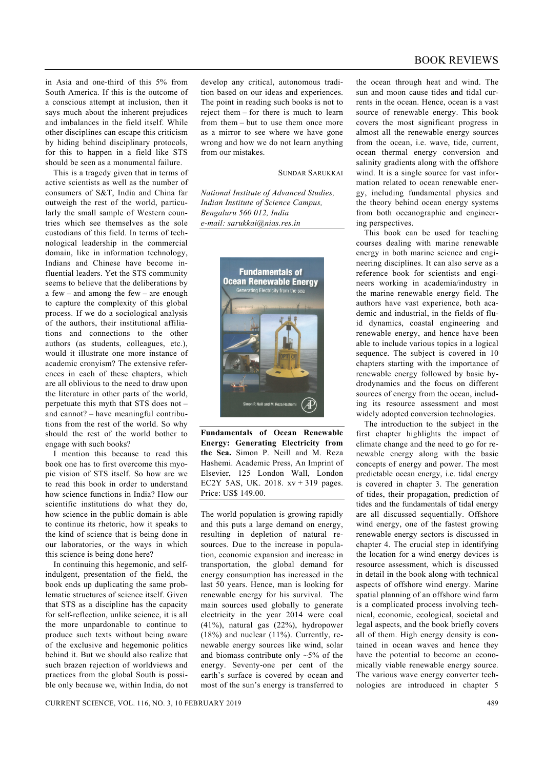in Asia and one-third of this 5% from South America. If this is the outcome of a conscious attempt at inclusion, then it says much about the inherent prejudices and imbalances in the field itself. While other disciplines can escape this criticism by hiding behind disciplinary protocols, for this to happen in a field like STS should be seen as a monumental failure.

 This is a tragedy given that in terms of active scientists as well as the number of consumers of S&T, India and China far outweigh the rest of the world, particularly the small sample of Western countries which see themselves as the sole custodians of this field. In terms of technological leadership in the commercial domain, like in information technology, Indians and Chinese have become influential leaders. Yet the STS community seems to believe that the deliberations by a few – and among the few – are enough to capture the complexity of this global process. If we do a sociological analysis of the authors, their institutional affiliations and connections to the other authors (as students, colleagues, etc.), would it illustrate one more instance of academic cronyism? The extensive references in each of these chapters, which are all oblivious to the need to draw upon the literature in other parts of the world, perpetuate this myth that STS does not – and cannot? – have meaningful contributions from the rest of the world. So why should the rest of the world bother to engage with such books?

 I mention this because to read this book one has to first overcome this myopic vision of STS itself. So how are we to read this book in order to understand how science functions in India? How our scientific institutions do what they do, how science in the public domain is able to continue its rhetoric, how it speaks to the kind of science that is being done in our laboratories, or the ways in which this science is being done here?

 In continuing this hegemonic, and selfindulgent, presentation of the field, the book ends up duplicating the same problematic structures of science itself. Given that STS as a discipline has the capacity for self-reflection, unlike science, it is all the more unpardonable to continue to produce such texts without being aware of the exclusive and hegemonic politics behind it. But we should also realize that such brazen rejection of worldviews and practices from the global South is possible only because we, within India, do not develop any critical, autonomous tradition based on our ideas and experiences. The point in reading such books is not to reject them – for there is much to learn from them – but to use them once more as a mirror to see where we have gone wrong and how we do not learn anything from our mistakes.

SUNDAR SARUKKAI

*National Institute of Advanced Studies, Indian Institute of Science Campus, Bengaluru 560 012, India e-mail: sarukkai@nias.res.in* 



**Fundamentals of Ocean Renewable Energy: Generating Electricity from the Sea.** Simon P. Neill and M. Reza Hashemi. Academic Press, An Imprint of Elsevier, 125 London Wall, London EC2Y 5AS, UK. 2018. xv + 319 pages. Price: US\$ 149.00.

The world population is growing rapidly and this puts a large demand on energy, resulting in depletion of natural resources. Due to the increase in population, economic expansion and increase in transportation, the global demand for energy consumption has increased in the last 50 years. Hence, man is looking for renewable energy for his survival. The main sources used globally to generate electricity in the year 2014 were coal (41%), natural gas (22%), hydropower (18%) and nuclear (11%). Currently, renewable energy sources like wind, solar and biomass contribute only  $~5\%$  of the energy. Seventy-one per cent of the earth's surface is covered by ocean and most of the sun's energy is transferred to

the ocean through heat and wind. The sun and moon cause tides and tidal currents in the ocean. Hence, ocean is a vast source of renewable energy. This book covers the most significant progress in almost all the renewable energy sources from the ocean, i.e. wave, tide, current, ocean thermal energy conversion and salinity gradients along with the offshore wind. It is a single source for vast information related to ocean renewable energy, including fundamental physics and the theory behind ocean energy systems from both oceanographic and engineering perspectives.

 This book can be used for teaching courses dealing with marine renewable energy in both marine science and engineering disciplines. It can also serve as a reference book for scientists and engineers working in academia/industry in the marine renewable energy field. The authors have vast experience, both academic and industrial, in the fields of fluid dynamics, coastal engineering and renewable energy, and hence have been able to include various topics in a logical sequence. The subject is covered in 10 chapters starting with the importance of renewable energy followed by basic hydrodynamics and the focus on different sources of energy from the ocean, including its resource assessment and most widely adopted conversion technologies.

 The introduction to the subject in the first chapter highlights the impact of climate change and the need to go for renewable energy along with the basic concepts of energy and power. The most predictable ocean energy, i.e. tidal energy is covered in chapter 3. The generation of tides, their propagation, prediction of tides and the fundamentals of tidal energy are all discussed sequentially. Offshore wind energy, one of the fastest growing renewable energy sectors is discussed in chapter 4. The crucial step in identifying the location for a wind energy devices is resource assessment, which is discussed in detail in the book along with technical aspects of offshore wind energy. Marine spatial planning of an offshore wind farm is a complicated process involving technical, economic, ecological, societal and legal aspects, and the book briefly covers all of them. High energy density is contained in ocean waves and hence they have the potential to become an economically viable renewable energy source. The various wave energy converter technologies are introduced in chapter 5